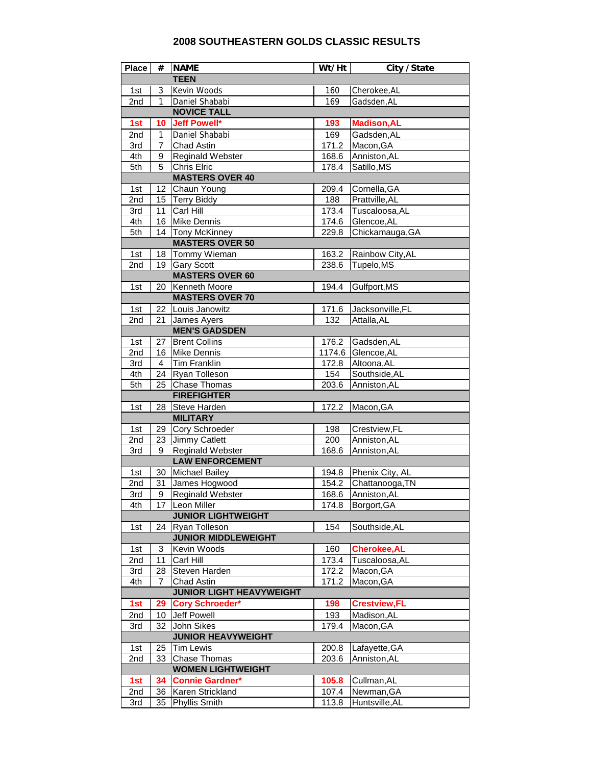## **2008 SOUTHEASTERN GOLDS CLASSIC RESULTS**

| <b>Place</b>              | #            | <b>NAME</b>                                       | Wt/Ht        | City / State        |  |  |  |
|---------------------------|--------------|---------------------------------------------------|--------------|---------------------|--|--|--|
| <b>TEEN</b>               |              |                                                   |              |                     |  |  |  |
| 1st                       | 3            | Kevin Woods                                       | 160          | Cherokee, AL        |  |  |  |
| 2nd                       | $\mathbf{1}$ | Daniel Shababi                                    | 169          | Gadsden, AL         |  |  |  |
| <b>NOVICE TALL</b>        |              |                                                   |              |                     |  |  |  |
| 1st                       | 10           | Jeff Powell*                                      | 193          | <b>Madison, AL</b>  |  |  |  |
| 2nd                       | 1            | Daniel Shababi                                    | 169          | Gadsden, AL         |  |  |  |
| 3rd                       | 7            | Chad Astin                                        | 171.2        | Macon, GA           |  |  |  |
| 4th                       | 9            | Reginald Webster                                  | 168.6        | Anniston, AL        |  |  |  |
| 5th                       | 5            | Chris Elric                                       | 178.4        | Satillo, MS         |  |  |  |
| <b>MASTERS OVER 40</b>    |              |                                                   |              |                     |  |  |  |
| 1st                       | 12           | Chaun Young                                       | 209.4        | Cornella, GA        |  |  |  |
| 2nd                       | 15           | <b>Terry Biddy</b>                                | 188          | Prattville, AL      |  |  |  |
| 3rd                       | 11           | Carl Hill                                         | 173.4        | Tuscaloosa, AL      |  |  |  |
| 4th                       |              | 16 Mike Dennis                                    | 174.6        | Glencoe, AL         |  |  |  |
| 5th                       | 14           | <b>Tony McKinney</b>                              | 229.8        | Chickamauga, GA     |  |  |  |
|                           |              | <b>MASTERS OVER 50</b>                            |              |                     |  |  |  |
| 1st                       | 18           | Tommy Wieman                                      | 163.2        | Rainbow City, AL    |  |  |  |
| 2nd                       | 19           | <b>Gary Scott</b>                                 | 238.6        | Tupelo, MS          |  |  |  |
|                           |              | <b>MASTERS OVER 60</b>                            |              |                     |  |  |  |
| 1st                       | 20           | <b>Kenneth Moore</b>                              | 194.4        | Gulfport, MS        |  |  |  |
|                           |              | <b>MASTERS OVER 70</b>                            |              |                     |  |  |  |
| 1st                       |              | 22 Louis Janowitz                                 | 171.6        | Jacksonville, FL    |  |  |  |
| 2nd                       | 21           | James Ayers                                       | 132          | Attalla, AL         |  |  |  |
|                           |              | <b>MEN'S GADSDEN</b>                              |              |                     |  |  |  |
| 1st                       | 27           | <b>Brent Collins</b>                              | 176.2        | Gadsden, AL         |  |  |  |
| 2nd                       | 16           | <b>Mike Dennis</b>                                |              | 1174.6 Glencoe, AL  |  |  |  |
| 3rd                       | 4            | <b>Tim Franklin</b>                               | 172.8        | Altoona, AL         |  |  |  |
|                           |              |                                                   |              | Southside, AL       |  |  |  |
| 4th                       | 24<br>25     | Ryan Tolleson                                     | 154<br>203.6 |                     |  |  |  |
| 5th                       |              | <b>Chase Thomas</b><br><b>FIREFIGHTER</b>         |              | Anniston, AL        |  |  |  |
|                           |              |                                                   |              |                     |  |  |  |
| 1st                       | 28           | Steve Harden<br><b>MILITARY</b>                   | 172.2        | Macon, GA           |  |  |  |
|                           |              |                                                   |              |                     |  |  |  |
| 1st                       | 29           | Cory Schroeder                                    | 198          | Crestview, FL       |  |  |  |
| 2nd                       | 23           | Jimmy Catlett                                     | 200          | Anniston, AL        |  |  |  |
| 3rd                       | 9            | <b>Reginald Webster</b><br><b>LAW ENFORCEMENT</b> | 168.6        | Anniston, AL        |  |  |  |
|                           |              |                                                   |              |                     |  |  |  |
| 1st                       |              | 30 Michael Bailey                                 | 194.8        | Phenix City, AL     |  |  |  |
| 2nd                       | 31           | James Hogwood                                     | 154.2        | Chattanooga, TN     |  |  |  |
| 3rd                       |              | 9 Reginald Webster                                | 168.6        | Anniston.AL         |  |  |  |
| 4th                       |              | 17 Leon Miller                                    | 174.8        | Borgort, GA         |  |  |  |
|                           |              | <b>JUNIOR LIGHTWEIGHT</b>                         |              |                     |  |  |  |
| 1st                       | 24           | Ryan Tolleson                                     | 154          | Southside, AL       |  |  |  |
|                           |              | <b>JUNIOR MIDDLEWEIGHT</b>                        |              |                     |  |  |  |
| 1st                       | 3            | Kevin Woods                                       | 160          | <b>Cherokee, AL</b> |  |  |  |
| 2nd                       | 11           | Carl Hill                                         | 173.4        | Tuscaloosa, AL      |  |  |  |
| 3rd                       | 28           | Steven Harden                                     | 172.2        | Macon, GA           |  |  |  |
| 4th                       | 7            | Chad Astin                                        | 171.2        | Macon, GA           |  |  |  |
|                           |              | <b>JUNIOR LIGHT HEAVYWEIGHT</b>                   |              |                     |  |  |  |
| 1st                       | 29           | <b>Cory Schroeder*</b>                            | 198          | <b>Crestview,FL</b> |  |  |  |
| 2nd                       | 10           | Jeff Powell                                       | 193          | Madison, AL         |  |  |  |
| 3rd                       | 32           | John Sikes                                        | 179.4        | Macon, GA           |  |  |  |
| <b>JUNIOR HEAVYWEIGHT</b> |              |                                                   |              |                     |  |  |  |
| 1st                       | 25           | Tim Lewis                                         | 200.8        | Lafayette, GA       |  |  |  |
| 2nd                       | 33           | Chase Thomas                                      | 203.6        | Anniston, AL        |  |  |  |
| <b>WOMEN LIGHTWEIGHT</b>  |              |                                                   |              |                     |  |  |  |
| 1st                       | 34           | <b>Connie Gardner*</b>                            | 105.8        | Cullman, AL         |  |  |  |
| 2nd                       | 36           | Karen Strickland                                  | 107.4        | Newman, GA          |  |  |  |
| 3rd                       | 35           | Phyllis Smith                                     | 113.8        | Huntsville, AL      |  |  |  |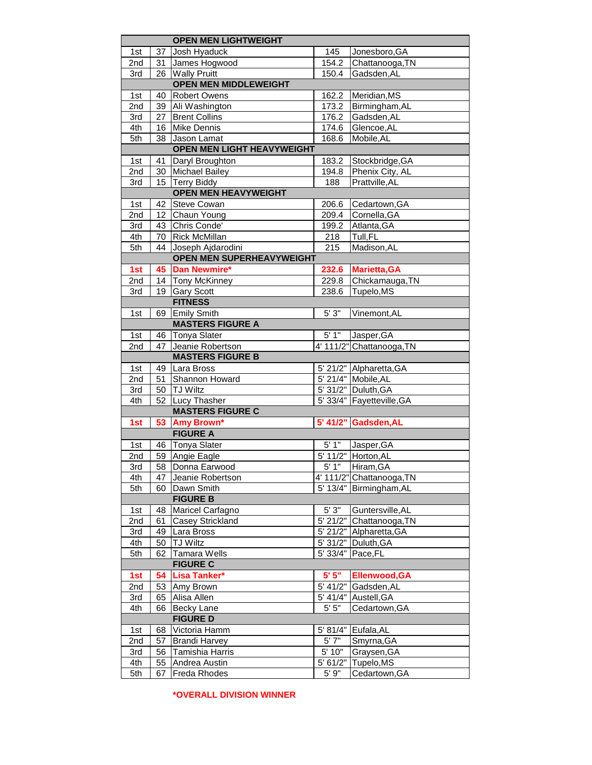|                 | <b>OPEN MEN LIGHTWEIGHT</b> |                                   |            |                           |  |  |  |
|-----------------|-----------------------------|-----------------------------------|------------|---------------------------|--|--|--|
| 1st             | 37                          | Josh Hyaduck                      | 145        | Jonesboro, GA             |  |  |  |
| 2nd             | 31                          | James Hogwood                     | 154.2      | Chattanooga, TN           |  |  |  |
| 3rd             | 26                          | <b>Wally Pruitt</b>               | 150.4      | Gadsden, AL               |  |  |  |
|                 |                             | <b>OPEN MEN MIDDLEWEIGHT</b>      |            |                           |  |  |  |
| 1st             | 40                          | <b>Robert Owens</b>               | 162.2      | Meridian, MS              |  |  |  |
| 2nd             |                             | 39 Ali Washington                 | 173.2      | Birmingham, AL            |  |  |  |
| 3rd             | 27                          | <b>Brent Collins</b>              | 176.2      | Gadsden, AL               |  |  |  |
| 4th             | 16                          | Mike Dennis                       | 174.6      | Glencoe, AL               |  |  |  |
| 5th             | 38                          | Jason Lamat                       | 168.6      | Mobile, AL                |  |  |  |
|                 |                             | <b>OPEN MEN LIGHT HEAVYWEIGHT</b> |            |                           |  |  |  |
| 1st             | 41                          | Daryl Broughton                   | 183.2      | Stockbridge, GA           |  |  |  |
| 2nd             | 30                          | <b>Michael Bailey</b>             | 194.8      | Phenix City, AL           |  |  |  |
| 3rd             |                             | 15 Terry Biddy                    | 188        | Prattville, AL            |  |  |  |
|                 |                             | <b>OPEN MEN HEAVYWEIGHT</b>       |            |                           |  |  |  |
| 1st             | 42                          | <b>Steve Cowan</b>                | 206.6      | Cedartown, GA             |  |  |  |
| 2nd             | 12 <sup>2</sup>             | Chaun Young                       | 209.4      | Cornella, GA              |  |  |  |
| 3rd             | 43                          | Chris Conde'                      | 199.2      | Atlanta, GA               |  |  |  |
| 4th             | 70                          | <b>Rick McMillan</b>              | 218        | Tull, FL                  |  |  |  |
| 5th             | 44                          | Joseph Ajdarodini                 | 215        | Madison, AL               |  |  |  |
|                 |                             | <b>OPEN MEN SUPERHEAVYWEIGHT</b>  |            |                           |  |  |  |
| 1st             | 45                          | <b>Dan Newmire*</b>               |            | 232.6 Marietta, GA        |  |  |  |
| 2nd             | 14                          | Tony McKinney                     | 229.8      | Chickamauga, TN           |  |  |  |
| 3rd             | 19                          | <b>Gary Scott</b>                 | 238.6      | Tupelo, MS                |  |  |  |
|                 |                             | <b>FITNESS</b>                    |            |                           |  |  |  |
| 1st             | 69                          | <b>Emily Smith</b>                | 5'3''      | Vinemont, AL              |  |  |  |
|                 |                             | <b>MASTERS FIGURE A</b>           |            |                           |  |  |  |
| 1st             | 46                          | <b>Tonya Slater</b>               | 5'1"       | Jasper, GA                |  |  |  |
| 2nd             | 47                          | Jeanie Robertson                  |            | 4' 111/2" Chattanooga, TN |  |  |  |
|                 |                             | <b>MASTERS FIGURE B</b>           |            |                           |  |  |  |
| 1st             | 49                          | Lara Bross                        |            | 5' 21/2" Alpharetta, GA   |  |  |  |
| 2nd             | 51                          | Shannon Howard                    |            | 5' 21/4" Mobile, AL       |  |  |  |
| 3rd             | 50                          | <b>TJ Wiltz</b>                   |            | 5' 31/2" Duluth, GA       |  |  |  |
| 4th             | 52                          | <b>Lucy Thasher</b>               |            | 5' 33/4" Fayetteville, GA |  |  |  |
|                 |                             | <b>MASTERS FIGURE C</b>           |            |                           |  |  |  |
| 1st             | 53                          | <b>Amy Brown*</b>                 |            | 5' 41/2" Gadsden, AL      |  |  |  |
|                 |                             | <b>FIGURE A</b>                   |            |                           |  |  |  |
| 1st             | 46                          | Tonya Slater                      | 5'1"       | Jasper, GA                |  |  |  |
| 2nd             |                             | 59 Angie Eagle                    |            | 5' 11/2" Horton, AL       |  |  |  |
| 3rd             |                             | 58 Donna Earwood                  | 5'1"       | Hiram.GA                  |  |  |  |
| 4th             | 47                          | Jeanie Robertson                  |            | 4' 111/2" Chattanooga, TN |  |  |  |
| 5th             | 60                          | Dawn Smith                        |            | 5' 13/4" Birmingham, AL   |  |  |  |
|                 |                             | <b>FIGURE B</b>                   |            |                           |  |  |  |
| 1st             | 48                          | Maricel Carfagno                  | 5'3"       | Guntersville, AL          |  |  |  |
| 2nd             | 61                          | Casey Strickland                  |            | 5' 21/2" Chattanooga, TN  |  |  |  |
| 3rd             | 49                          | Lara Bross                        | $5'$ 21/2" | Alpharetta, GA            |  |  |  |
| 4th             | 50                          | <b>TJ</b> Wiltz                   |            | 5' 31/2" Duluth, GA       |  |  |  |
| 5th             | 62                          | <b>Tamara Wells</b>               |            | 5' 33/4" Pace, FL         |  |  |  |
| <b>FIGURE C</b> |                             |                                   |            |                           |  |  |  |
| 1st             | 54                          | Lisa Tanker*                      | 5'5''      | Ellenwood, GA             |  |  |  |
| 2nd             | 53                          | Amy Brown                         |            | 5' 41/2" Gadsden, AL      |  |  |  |
| 3rd             | 65                          | Alisa Allen                       |            | $5'$ 41/4" Austell, GA    |  |  |  |
| 4th             | 66                          | <b>Becky Lane</b>                 | 5'5''      | Cedartown, GA             |  |  |  |
| <b>FIGURE D</b> |                             |                                   |            |                           |  |  |  |
| 1st             | 68                          | Victoria Hamm                     |            | 5' 81/4" Eufala, AL       |  |  |  |
| 2nd             | 57                          | <b>Brandi Harvey</b>              | 5'7"       | Smyrna, GA                |  |  |  |
| 3rd             |                             | 56 Tamishia Harris                | 5' 10"     | Graysen, GA               |  |  |  |
| 4th             |                             | 55 Andrea Austin                  | 5' 61/2"   | Tupelo, MS                |  |  |  |
| 5th             | 67                          | Freda Rhodes                      | $5'$ 9"    | Cedartown, GA             |  |  |  |
|                 |                             |                                   |            |                           |  |  |  |

**\*OVERALL DIVISION WINNER**